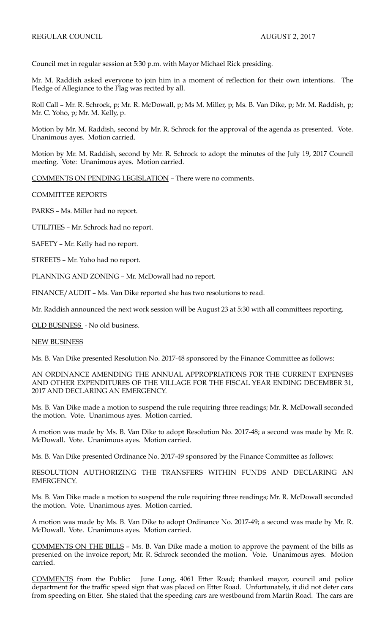Council met in regular session at 5:30 p.m. with Mayor Michael Rick presiding.

Mr. M. Raddish asked everyone to join him in a moment of reflection for their own intentions. The Pledge of Allegiance to the Flag was recited by all.

Roll Call – Mr. R. Schrock, p; Mr. R. McDowall, p; Ms M. Miller, p; Ms. B. Van Dike, p; Mr. M. Raddish, p; Mr. C. Yoho, p; Mr. M. Kelly, p.

Motion by Mr. M. Raddish, second by Mr. R. Schrock for the approval of the agenda as presented. Vote. Unanimous ayes. Motion carried.

Motion by Mr. M. Raddish, second by Mr. R. Schrock to adopt the minutes of the July 19, 2017 Council meeting. Vote: Unanimous ayes. Motion carried.

COMMENTS ON PENDING LEGISLATION – There were no comments.

## COMMITTEE REPORTS

PARKS – Ms. Miller had no report.

UTILITIES – Mr. Schrock had no report.

SAFETY – Mr. Kelly had no report.

STREETS – Mr. Yoho had no report.

PLANNING AND ZONING – Mr. McDowall had no report.

FINANCE/AUDIT – Ms. Van Dike reported she has two resolutions to read.

Mr. Raddish announced the next work session will be August 23 at 5:30 with all committees reporting.

OLD BUSINESS - No old business.

## NEW BUSINESS

Ms. B. Van Dike presented Resolution No. 2017-48 sponsored by the Finance Committee as follows:

AN ORDINANCE AMENDING THE ANNUAL APPROPRIATIONS FOR THE CURRENT EXPENSES AND OTHER EXPENDITURES OF THE VILLAGE FOR THE FISCAL YEAR ENDING DECEMBER 31, 2017 AND DECLARING AN EMERGENCY.

Ms. B. Van Dike made a motion to suspend the rule requiring three readings; Mr. R. McDowall seconded the motion. Vote. Unanimous ayes. Motion carried.

A motion was made by Ms. B. Van Dike to adopt Resolution No. 2017-48; a second was made by Mr. R. McDowall. Vote. Unanimous ayes. Motion carried.

Ms. B. Van Dike presented Ordinance No. 2017-49 sponsored by the Finance Committee as follows:

RESOLUTION AUTHORIZING THE TRANSFERS WITHIN FUNDS AND DECLARING AN EMERGENCY.

Ms. B. Van Dike made a motion to suspend the rule requiring three readings; Mr. R. McDowall seconded the motion. Vote. Unanimous ayes. Motion carried.

A motion was made by Ms. B. Van Dike to adopt Ordinance No. 2017-49; a second was made by Mr. R. McDowall. Vote. Unanimous ayes. Motion carried.

COMMENTS ON THE BILLS – Ms. B. Van Dike made a motion to approve the payment of the bills as presented on the invoice report; Mr. R. Schrock seconded the motion. Vote. Unanimous ayes. Motion carried.

COMMENTS from the Public: June Long, 4061 Etter Road; thanked mayor, council and police department for the traffic speed sign that was placed on Etter Road. Unfortunately, it did not deter cars from speeding on Etter. She stated that the speeding cars are westbound from Martin Road. The cars are